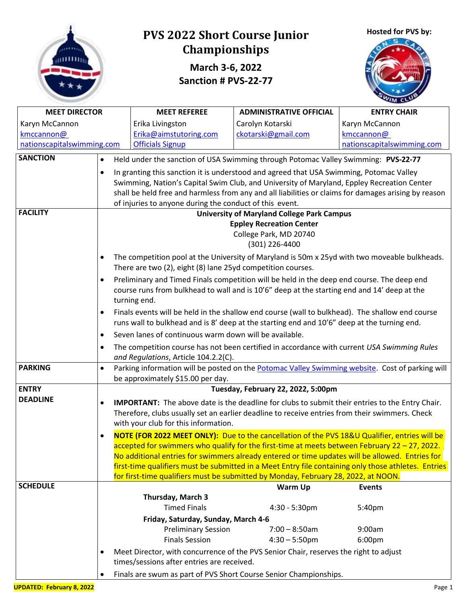

# **PVS 2022 Short Course Junior Championships**

**March 3-6, 2022 Sanction # PVS-22-77**





| <b>MEET DIRECTOR</b>       |                                                                                                      | <b>MEET REFEREE</b>                                                                                                                 | <b>ADMINISTRATIVE OFFICIAL</b>                                                                                                                                                                 | <b>ENTRY CHAIR</b>                                                                              |  |  |  |  |
|----------------------------|------------------------------------------------------------------------------------------------------|-------------------------------------------------------------------------------------------------------------------------------------|------------------------------------------------------------------------------------------------------------------------------------------------------------------------------------------------|-------------------------------------------------------------------------------------------------|--|--|--|--|
| Karyn McCannon             |                                                                                                      | Erika Livingston                                                                                                                    | Carolyn Kotarski                                                                                                                                                                               | Karyn McCannon                                                                                  |  |  |  |  |
| kmccannon@                 |                                                                                                      | Erika@aimstutoring.com                                                                                                              | ckotarski@gmail.com                                                                                                                                                                            | kmccannon@                                                                                      |  |  |  |  |
| nationscapitalswimming.com |                                                                                                      | <b>Officials Signup</b>                                                                                                             |                                                                                                                                                                                                | nationscapitalswimming.com                                                                      |  |  |  |  |
| <b>SANCTION</b>            | Held under the sanction of USA Swimming through Potomac Valley Swimming: PVS-22-77<br>٠              |                                                                                                                                     |                                                                                                                                                                                                |                                                                                                 |  |  |  |  |
|                            | In granting this sanction it is understood and agreed that USA Swimming, Potomac Valley              |                                                                                                                                     |                                                                                                                                                                                                |                                                                                                 |  |  |  |  |
|                            |                                                                                                      |                                                                                                                                     | Swimming, Nation's Capital Swim Club, and University of Maryland, Eppley Recreation Center                                                                                                     |                                                                                                 |  |  |  |  |
|                            | shall be held free and harmless from any and all liabilities or claims for damages arising by reason |                                                                                                                                     |                                                                                                                                                                                                |                                                                                                 |  |  |  |  |
|                            |                                                                                                      | of injuries to anyone during the conduct of this event.                                                                             |                                                                                                                                                                                                |                                                                                                 |  |  |  |  |
| <b>FACILITY</b>            |                                                                                                      |                                                                                                                                     | <b>University of Maryland College Park Campus</b>                                                                                                                                              |                                                                                                 |  |  |  |  |
|                            |                                                                                                      |                                                                                                                                     | <b>Eppley Recreation Center</b>                                                                                                                                                                |                                                                                                 |  |  |  |  |
|                            |                                                                                                      |                                                                                                                                     | College Park, MD 20740                                                                                                                                                                         |                                                                                                 |  |  |  |  |
|                            |                                                                                                      |                                                                                                                                     | (301) 226-4400                                                                                                                                                                                 |                                                                                                 |  |  |  |  |
|                            |                                                                                                      |                                                                                                                                     | The competition pool at the University of Maryland is 50m x 25yd with two moveable bulkheads.                                                                                                  |                                                                                                 |  |  |  |  |
|                            |                                                                                                      | There are two (2), eight (8) lane 25yd competition courses.                                                                         |                                                                                                                                                                                                |                                                                                                 |  |  |  |  |
|                            |                                                                                                      |                                                                                                                                     | Preliminary and Timed Finals competition will be held in the deep end course. The deep end                                                                                                     |                                                                                                 |  |  |  |  |
|                            |                                                                                                      | turning end.                                                                                                                        | course runs from bulkhead to wall and is 10'6" deep at the starting end and 14' deep at the                                                                                                    |                                                                                                 |  |  |  |  |
|                            |                                                                                                      |                                                                                                                                     |                                                                                                                                                                                                |                                                                                                 |  |  |  |  |
|                            |                                                                                                      |                                                                                                                                     | Finals events will be held in the shallow end course (wall to bulkhead). The shallow end course<br>runs wall to bulkhead and is 8' deep at the starting end and 10'6" deep at the turning end. |                                                                                                 |  |  |  |  |
|                            |                                                                                                      | Seven lanes of continuous warm down will be available.                                                                              |                                                                                                                                                                                                |                                                                                                 |  |  |  |  |
|                            | $\bullet$                                                                                            |                                                                                                                                     |                                                                                                                                                                                                |                                                                                                 |  |  |  |  |
|                            | ٠                                                                                                    | The competition course has not been certified in accordance with current USA Swimming Rules<br>and Regulations, Article 104.2.2(C). |                                                                                                                                                                                                |                                                                                                 |  |  |  |  |
| <b>PARKING</b>             | $\bullet$                                                                                            |                                                                                                                                     |                                                                                                                                                                                                | Parking information will be posted on the Potomac Valley Swimming website. Cost of parking will |  |  |  |  |
|                            |                                                                                                      | be approximately \$15.00 per day.                                                                                                   |                                                                                                                                                                                                |                                                                                                 |  |  |  |  |
| <b>ENTRY</b>               |                                                                                                      |                                                                                                                                     | Tuesday, February 22, 2022, 5:00pm                                                                                                                                                             |                                                                                                 |  |  |  |  |
| <b>DEADLINE</b>            | ٠                                                                                                    |                                                                                                                                     | <b>IMPORTANT:</b> The above date is the deadline for clubs to submit their entries to the Entry Chair.                                                                                         |                                                                                                 |  |  |  |  |
|                            |                                                                                                      |                                                                                                                                     | Therefore, clubs usually set an earlier deadline to receive entries from their swimmers. Check                                                                                                 |                                                                                                 |  |  |  |  |
|                            |                                                                                                      | with your club for this information.                                                                                                |                                                                                                                                                                                                |                                                                                                 |  |  |  |  |
|                            |                                                                                                      |                                                                                                                                     |                                                                                                                                                                                                | NOTE (FOR 2022 MEET ONLY): Due to the cancellation of the PVS 18&U Qualifier, entries will be   |  |  |  |  |
|                            |                                                                                                      |                                                                                                                                     | $\alpha$ accepted for swimmers who qualify for the first-time at meets between February 22 - 27, 2022.                                                                                         |                                                                                                 |  |  |  |  |
|                            |                                                                                                      |                                                                                                                                     | No additional entries for swimmers already entered or time updates will be allowed. Entries for                                                                                                |                                                                                                 |  |  |  |  |
|                            | first-time qualifiers must be submitted in a Meet Entry file containing only those athletes. Entries |                                                                                                                                     |                                                                                                                                                                                                |                                                                                                 |  |  |  |  |
| <b>SCHEDULE</b>            |                                                                                                      |                                                                                                                                     | for first-time qualifiers must be submitted by Monday, February 28, 2022, at NOON.                                                                                                             |                                                                                                 |  |  |  |  |
|                            |                                                                                                      | Thursday, March 3                                                                                                                   | Warm Up                                                                                                                                                                                        | <b>Events</b>                                                                                   |  |  |  |  |
|                            |                                                                                                      | <b>Timed Finals</b>                                                                                                                 | 4:30 - 5:30pm                                                                                                                                                                                  | 5:40pm                                                                                          |  |  |  |  |
|                            |                                                                                                      | Friday, Saturday, Sunday, March 4-6                                                                                                 |                                                                                                                                                                                                |                                                                                                 |  |  |  |  |
|                            |                                                                                                      | <b>Preliminary Session</b>                                                                                                          | $7:00 - 8:50$ am                                                                                                                                                                               | 9:00am                                                                                          |  |  |  |  |
|                            |                                                                                                      | <b>Finals Session</b>                                                                                                               | $4:30 - 5:50$ pm                                                                                                                                                                               | 6:00pm                                                                                          |  |  |  |  |
|                            |                                                                                                      |                                                                                                                                     | Meet Director, with concurrence of the PVS Senior Chair, reserves the right to adjust                                                                                                          |                                                                                                 |  |  |  |  |
|                            |                                                                                                      | times/sessions after entries are received.                                                                                          |                                                                                                                                                                                                |                                                                                                 |  |  |  |  |
|                            |                                                                                                      |                                                                                                                                     |                                                                                                                                                                                                |                                                                                                 |  |  |  |  |
|                            | Finals are swum as part of PVS Short Course Senior Championships.                                    |                                                                                                                                     |                                                                                                                                                                                                |                                                                                                 |  |  |  |  |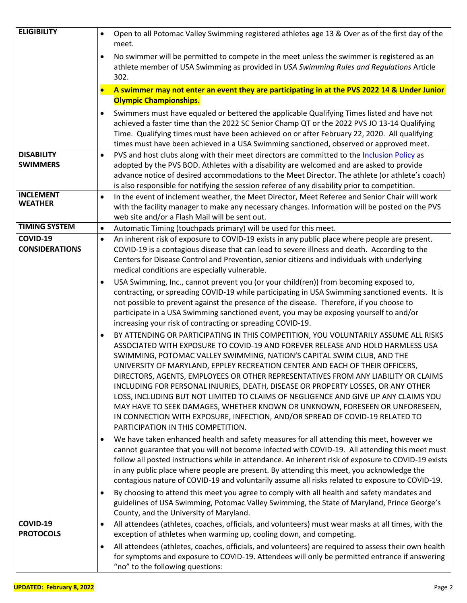| <b>ELIGIBILITY</b>                 | Open to all Potomac Valley Swimming registered athletes age 13 & Over as of the first day of the<br>$\bullet$                                                                                  |
|------------------------------------|------------------------------------------------------------------------------------------------------------------------------------------------------------------------------------------------|
|                                    | meet.                                                                                                                                                                                          |
|                                    | No swimmer will be permitted to compete in the meet unless the swimmer is registered as an<br>athlete member of USA Swimming as provided in USA Swimming Rules and Regulations Article<br>302. |
|                                    |                                                                                                                                                                                                |
|                                    | A swimmer may not enter an event they are participating in at the PVS 2022 14 & Under Junior<br><b>Olympic Championships.</b>                                                                  |
|                                    |                                                                                                                                                                                                |
|                                    | Swimmers must have equaled or bettered the applicable Qualifying Times listed and have not<br>achieved a faster time than the 2022 SC Senior Champ QT or the 2022 PVS JO 13-14 Qualifying      |
|                                    | Time. Qualifying times must have been achieved on or after February 22, 2020. All qualifying                                                                                                   |
|                                    | times must have been achieved in a USA Swimming sanctioned, observed or approved meet.                                                                                                         |
| <b>DISABILITY</b>                  | PVS and host clubs along with their meet directors are committed to the Inclusion Policy as<br>$\bullet$                                                                                       |
| <b>SWIMMERS</b>                    | adopted by the PVS BOD. Athletes with a disability are welcomed and are asked to provide                                                                                                       |
|                                    | advance notice of desired accommodations to the Meet Director. The athlete (or athlete's coach)                                                                                                |
|                                    | is also responsible for notifying the session referee of any disability prior to competition.                                                                                                  |
| <b>INCLEMENT</b><br><b>WEATHER</b> | In the event of inclement weather, the Meet Director, Meet Referee and Senior Chair will work<br>$\bullet$                                                                                     |
|                                    | with the facility manager to make any necessary changes. Information will be posted on the PVS                                                                                                 |
| <b>TIMING SYSTEM</b>               | web site and/or a Flash Mail will be sent out.<br>Automatic Timing (touchpads primary) will be used for this meet.<br>$\bullet$                                                                |
| COVID-19                           | An inherent risk of exposure to COVID-19 exists in any public place where people are present.<br>$\bullet$                                                                                     |
| <b>CONSIDERATIONS</b>              | COVID-19 is a contagious disease that can lead to severe illness and death. According to the                                                                                                   |
|                                    | Centers for Disease Control and Prevention, senior citizens and individuals with underlying                                                                                                    |
|                                    | medical conditions are especially vulnerable.                                                                                                                                                  |
|                                    | USA Swimming, Inc., cannot prevent you (or your child(ren)) from becoming exposed to,                                                                                                          |
|                                    | contracting, or spreading COVID-19 while participating in USA Swimming sanctioned events. It is                                                                                                |
|                                    | not possible to prevent against the presence of the disease. Therefore, if you choose to                                                                                                       |
|                                    | participate in a USA Swimming sanctioned event, you may be exposing yourself to and/or                                                                                                         |
|                                    | increasing your risk of contracting or spreading COVID-19.                                                                                                                                     |
|                                    | BY ATTENDING OR PARTICIPATING IN THIS COMPETITION, YOU VOLUNTARILY ASSUME ALL RISKS<br>$\bullet$<br>ASSOCIATED WITH EXPOSURE TO COVID-19 AND FOREVER RELEASE AND HOLD HARMLESS USA             |
|                                    | SWIMMING, POTOMAC VALLEY SWIMMING, NATION'S CAPITAL SWIM CLUB, AND THE                                                                                                                         |
|                                    | UNIVERSITY OF MARYLAND, EPPLEY RECREATION CENTER AND EACH OF THEIR OFFICERS,                                                                                                                   |
|                                    | DIRECTORS, AGENTS, EMPLOYEES OR OTHER REPRESENTATIVES FROM ANY LIABILITY OR CLAIMS                                                                                                             |
|                                    | INCLUDING FOR PERSONAL INJURIES, DEATH, DISEASE OR PROPERTY LOSSES, OR ANY OTHER                                                                                                               |
|                                    | LOSS, INCLUDING BUT NOT LIMITED TO CLAIMS OF NEGLIGENCE AND GIVE UP ANY CLAIMS YOU                                                                                                             |
|                                    | MAY HAVE TO SEEK DAMAGES, WHETHER KNOWN OR UNKNOWN, FORESEEN OR UNFORESEEN,                                                                                                                    |
|                                    | IN CONNECTION WITH EXPOSURE, INFECTION, AND/OR SPREAD OF COVID-19 RELATED TO<br>PARTICIPATION IN THIS COMPETITION.                                                                             |
|                                    | We have taken enhanced health and safety measures for all attending this meet, however we                                                                                                      |
|                                    | $\bullet$<br>cannot guarantee that you will not become infected with COVID-19. All attending this meet must                                                                                    |
|                                    | follow all posted instructions while in attendance. An inherent risk of exposure to COVID-19 exists                                                                                            |
|                                    | in any public place where people are present. By attending this meet, you acknowledge the                                                                                                      |
|                                    | contagious nature of COVID-19 and voluntarily assume all risks related to exposure to COVID-19.                                                                                                |
|                                    | By choosing to attend this meet you agree to comply with all health and safety mandates and<br>$\bullet$                                                                                       |
|                                    | guidelines of USA Swimming, Potomac Valley Swimming, the State of Maryland, Prince George's                                                                                                    |
|                                    | County, and the University of Maryland.                                                                                                                                                        |
| COVID-19<br><b>PROTOCOLS</b>       | All attendees (athletes, coaches, officials, and volunteers) must wear masks at all times, with the<br>$\bullet$<br>exception of athletes when warming up, cooling down, and competing.        |
|                                    | All attendees (athletes, coaches, officials, and volunteers) are required to assess their own health                                                                                           |
|                                    | for symptoms and exposure to COVID-19. Attendees will only be permitted entrance if answering                                                                                                  |
|                                    | "no" to the following questions:                                                                                                                                                               |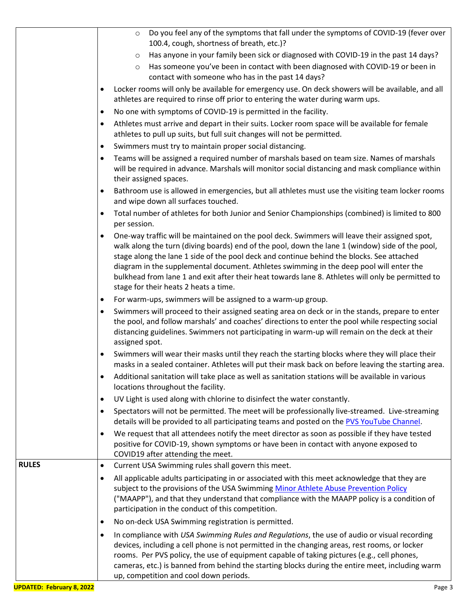|              | Do you feel any of the symptoms that fall under the symptoms of COVID-19 (fever over<br>$\circ$                                                                                                                                                                                                                                                                                                                                                                                                                                        |
|--------------|----------------------------------------------------------------------------------------------------------------------------------------------------------------------------------------------------------------------------------------------------------------------------------------------------------------------------------------------------------------------------------------------------------------------------------------------------------------------------------------------------------------------------------------|
|              | 100.4, cough, shortness of breath, etc.)?                                                                                                                                                                                                                                                                                                                                                                                                                                                                                              |
|              | Has anyone in your family been sick or diagnosed with COVID-19 in the past 14 days?<br>$\circ$                                                                                                                                                                                                                                                                                                                                                                                                                                         |
|              | Has someone you've been in contact with been diagnosed with COVID-19 or been in<br>$\circ$<br>contact with someone who has in the past 14 days?                                                                                                                                                                                                                                                                                                                                                                                        |
|              | Locker rooms will only be available for emergency use. On deck showers will be available, and all<br>athletes are required to rinse off prior to entering the water during warm ups.                                                                                                                                                                                                                                                                                                                                                   |
|              | No one with symptoms of COVID-19 is permitted in the facility.<br>$\bullet$                                                                                                                                                                                                                                                                                                                                                                                                                                                            |
|              | Athletes must arrive and depart in their suits. Locker room space will be available for female<br>٠<br>athletes to pull up suits, but full suit changes will not be permitted.                                                                                                                                                                                                                                                                                                                                                         |
|              | Swimmers must try to maintain proper social distancing.<br>٠                                                                                                                                                                                                                                                                                                                                                                                                                                                                           |
|              | Teams will be assigned a required number of marshals based on team size. Names of marshals                                                                                                                                                                                                                                                                                                                                                                                                                                             |
|              | will be required in advance. Marshals will monitor social distancing and mask compliance within<br>their assigned spaces.                                                                                                                                                                                                                                                                                                                                                                                                              |
|              | Bathroom use is allowed in emergencies, but all athletes must use the visiting team locker rooms<br>٠<br>and wipe down all surfaces touched.                                                                                                                                                                                                                                                                                                                                                                                           |
|              | Total number of athletes for both Junior and Senior Championships (combined) is limited to 800<br>per session.                                                                                                                                                                                                                                                                                                                                                                                                                         |
|              | One-way traffic will be maintained on the pool deck. Swimmers will leave their assigned spot,<br>walk along the turn (diving boards) end of the pool, down the lane 1 (window) side of the pool,<br>stage along the lane 1 side of the pool deck and continue behind the blocks. See attached<br>diagram in the supplemental document. Athletes swimming in the deep pool will enter the<br>bulkhead from lane 1 and exit after their heat towards lane 8. Athletes will only be permitted to<br>stage for their heats 2 heats a time. |
|              | For warm-ups, swimmers will be assigned to a warm-up group.<br>٠                                                                                                                                                                                                                                                                                                                                                                                                                                                                       |
|              | Swimmers will proceed to their assigned seating area on deck or in the stands, prepare to enter<br>٠<br>the pool, and follow marshals' and coaches' directions to enter the pool while respecting social<br>distancing guidelines. Swimmers not participating in warm-up will remain on the deck at their<br>assigned spot.                                                                                                                                                                                                            |
|              | Swimmers will wear their masks until they reach the starting blocks where they will place their<br>masks in a sealed container. Athletes will put their mask back on before leaving the starting area.                                                                                                                                                                                                                                                                                                                                 |
|              | Additional sanitation will take place as well as sanitation stations will be available in various<br>$\bullet$<br>locations throughout the facility.                                                                                                                                                                                                                                                                                                                                                                                   |
|              | UV Light is used along with chlorine to disinfect the water constantly.<br>٠                                                                                                                                                                                                                                                                                                                                                                                                                                                           |
|              | Spectators will not be permitted. The meet will be professionally live-streamed. Live-streaming<br>details will be provided to all participating teams and posted on the PVS YouTube Channel.                                                                                                                                                                                                                                                                                                                                          |
|              | We request that all attendees notify the meet director as soon as possible if they have tested<br>positive for COVID-19, shown symptoms or have been in contact with anyone exposed to<br>COVID19 after attending the meet.                                                                                                                                                                                                                                                                                                            |
| <b>RULES</b> | Current USA Swimming rules shall govern this meet.<br>٠                                                                                                                                                                                                                                                                                                                                                                                                                                                                                |
|              | All applicable adults participating in or associated with this meet acknowledge that they are<br>٠<br>subject to the provisions of the USA Swimming Minor Athlete Abuse Prevention Policy<br>("MAAPP"), and that they understand that compliance with the MAAPP policy is a condition of<br>participation in the conduct of this competition.                                                                                                                                                                                          |
|              | No on-deck USA Swimming registration is permitted.                                                                                                                                                                                                                                                                                                                                                                                                                                                                                     |
|              | In compliance with USA Swimming Rules and Regulations, the use of audio or visual recording<br>devices, including a cell phone is not permitted in the changing areas, rest rooms, or locker<br>rooms. Per PVS policy, the use of equipment capable of taking pictures (e.g., cell phones,<br>cameras, etc.) is banned from behind the starting blocks during the entire meet, including warm<br>up, competition and cool down periods.                                                                                                |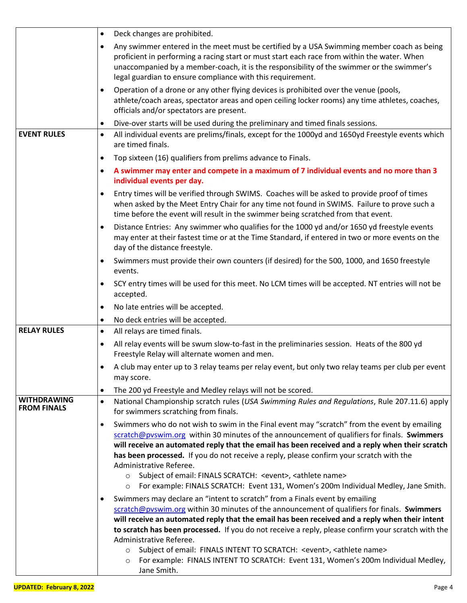|                                          | Deck changes are prohibited.<br>$\bullet$                                                                                                                                                                                                                                                                                                                                                                                                                                                                                                                                                                     |
|------------------------------------------|---------------------------------------------------------------------------------------------------------------------------------------------------------------------------------------------------------------------------------------------------------------------------------------------------------------------------------------------------------------------------------------------------------------------------------------------------------------------------------------------------------------------------------------------------------------------------------------------------------------|
|                                          | Any swimmer entered in the meet must be certified by a USA Swimming member coach as being<br>$\bullet$<br>proficient in performing a racing start or must start each race from within the water. When<br>unaccompanied by a member-coach, it is the responsibility of the swimmer or the swimmer's<br>legal guardian to ensure compliance with this requirement.                                                                                                                                                                                                                                              |
|                                          | Operation of a drone or any other flying devices is prohibited over the venue (pools,<br>$\bullet$<br>athlete/coach areas, spectator areas and open ceiling locker rooms) any time athletes, coaches,<br>officials and/or spectators are present.                                                                                                                                                                                                                                                                                                                                                             |
| <b>EVENT RULES</b>                       | Dive-over starts will be used during the preliminary and timed finals sessions.<br>٠<br>All individual events are prelims/finals, except for the 1000yd and 1650yd Freestyle events which<br>$\bullet$                                                                                                                                                                                                                                                                                                                                                                                                        |
|                                          | are timed finals.                                                                                                                                                                                                                                                                                                                                                                                                                                                                                                                                                                                             |
|                                          | Top sixteen (16) qualifiers from prelims advance to Finals.<br>٠<br>A swimmer may enter and compete in a maximum of 7 individual events and no more than 3<br>$\bullet$<br>individual events per day.                                                                                                                                                                                                                                                                                                                                                                                                         |
|                                          | Entry times will be verified through SWIMS. Coaches will be asked to provide proof of times<br>$\bullet$<br>when asked by the Meet Entry Chair for any time not found in SWIMS. Failure to prove such a<br>time before the event will result in the swimmer being scratched from that event.                                                                                                                                                                                                                                                                                                                  |
|                                          | Distance Entries: Any swimmer who qualifies for the 1000 yd and/or 1650 yd freestyle events<br>$\bullet$<br>may enter at their fastest time or at the Time Standard, if entered in two or more events on the<br>day of the distance freestyle.                                                                                                                                                                                                                                                                                                                                                                |
|                                          | Swimmers must provide their own counters (if desired) for the 500, 1000, and 1650 freestyle<br>$\bullet$<br>events.                                                                                                                                                                                                                                                                                                                                                                                                                                                                                           |
|                                          | SCY entry times will be used for this meet. No LCM times will be accepted. NT entries will not be<br>$\bullet$<br>accepted.                                                                                                                                                                                                                                                                                                                                                                                                                                                                                   |
|                                          | No late entries will be accepted.<br>$\bullet$                                                                                                                                                                                                                                                                                                                                                                                                                                                                                                                                                                |
|                                          | No deck entries will be accepted.<br>$\bullet$                                                                                                                                                                                                                                                                                                                                                                                                                                                                                                                                                                |
| <b>RELAY RULES</b>                       | All relays are timed finals.<br>$\bullet$                                                                                                                                                                                                                                                                                                                                                                                                                                                                                                                                                                     |
|                                          | All relay events will be swum slow-to-fast in the preliminaries session. Heats of the 800 yd<br>$\bullet$<br>Freestyle Relay will alternate women and men.                                                                                                                                                                                                                                                                                                                                                                                                                                                    |
|                                          | A club may enter up to 3 relay teams per relay event, but only two relay teams per club per event<br>may score.                                                                                                                                                                                                                                                                                                                                                                                                                                                                                               |
|                                          | The 200 yd Freestyle and Medley relays will not be scored.<br>$\bullet$                                                                                                                                                                                                                                                                                                                                                                                                                                                                                                                                       |
| <b>WITHDRAWING</b><br><b>FROM FINALS</b> | National Championship scratch rules (USA Swimming Rules and Regulations, Rule 207.11.6) apply<br>$\bullet$<br>for swimmers scratching from finals.                                                                                                                                                                                                                                                                                                                                                                                                                                                            |
|                                          | Swimmers who do not wish to swim in the Final event may "scratch" from the event by emailing<br>$\bullet$<br>scratch@pvswim.org within 30 minutes of the announcement of qualifiers for finals. Swimmers<br>will receive an automated reply that the email has been received and a reply when their scratch<br>has been processed. If you do not receive a reply, please confirm your scratch with the<br>Administrative Referee.<br>Subject of email: FINALS SCRATCH: < event>, < athlete name><br>$\circ$<br>For example: FINALS SCRATCH: Event 131, Women's 200m Individual Medley, Jane Smith.<br>$\circ$ |
|                                          | Swimmers may declare an "intent to scratch" from a Finals event by emailing<br>$\bullet$<br>scratch@pvswim.org within 30 minutes of the announcement of qualifiers for finals. Swimmers<br>will receive an automated reply that the email has been received and a reply when their intent                                                                                                                                                                                                                                                                                                                     |
|                                          | to scratch has been processed. If you do not receive a reply, please confirm your scratch with the<br>Administrative Referee.                                                                                                                                                                                                                                                                                                                                                                                                                                                                                 |
|                                          | Subject of email: FINALS INTENT TO SCRATCH: < event>, < athlete name><br>$\circ$<br>For example: FINALS INTENT TO SCRATCH: Event 131, Women's 200m Individual Medley,<br>$\circ$<br>Jane Smith.                                                                                                                                                                                                                                                                                                                                                                                                               |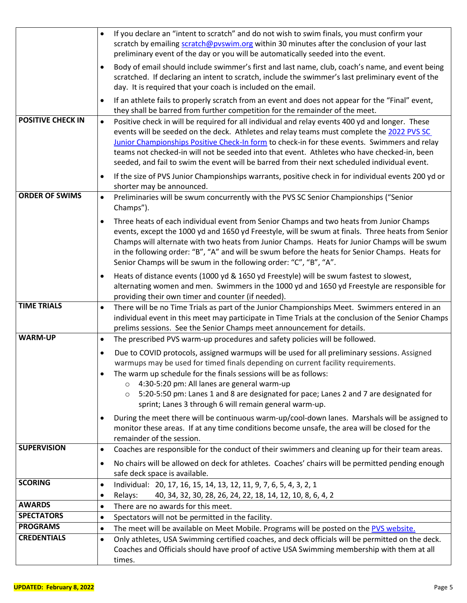|                          | If you declare an "intent to scratch" and do not wish to swim finals, you must confirm your<br>$\bullet$<br>scratch by emailing scratch@pyswim.org within 30 minutes after the conclusion of your last<br>preliminary event of the day or you will be automatically seeded into the event.                                                                                                                                                                                                                |
|--------------------------|-----------------------------------------------------------------------------------------------------------------------------------------------------------------------------------------------------------------------------------------------------------------------------------------------------------------------------------------------------------------------------------------------------------------------------------------------------------------------------------------------------------|
|                          | Body of email should include swimmer's first and last name, club, coach's name, and event being<br>$\bullet$<br>scratched. If declaring an intent to scratch, include the swimmer's last preliminary event of the<br>day. It is required that your coach is included on the email.                                                                                                                                                                                                                        |
|                          | If an athlete fails to properly scratch from an event and does not appear for the "Final" event,<br>$\bullet$<br>they shall be barred from further competition for the remainder of the meet.                                                                                                                                                                                                                                                                                                             |
| <b>POSITIVE CHECK IN</b> | Positive check in will be required for all individual and relay events 400 yd and longer. These<br>$\bullet$<br>events will be seeded on the deck. Athletes and relay teams must complete the 2022 PVS SC<br>Junior Championships Positive Check-In form to check-in for these events. Swimmers and relay<br>teams not checked-in will not be seeded into that event. Athletes who have checked-in, been<br>seeded, and fail to swim the event will be barred from their next scheduled individual event. |
|                          | If the size of PVS Junior Championships warrants, positive check in for individual events 200 yd or<br>٠<br>shorter may be announced.                                                                                                                                                                                                                                                                                                                                                                     |
| <b>ORDER OF SWIMS</b>    | Preliminaries will be swum concurrently with the PVS SC Senior Championships ("Senior<br>$\bullet$<br>Champs").                                                                                                                                                                                                                                                                                                                                                                                           |
|                          | Three heats of each individual event from Senior Champs and two heats from Junior Champs<br>$\bullet$<br>events, except the 1000 yd and 1650 yd Freestyle, will be swum at finals. Three heats from Senior<br>Champs will alternate with two heats from Junior Champs. Heats for Junior Champs will be swum<br>in the following order: "B", "A" and will be swum before the heats for Senior Champs. Heats for<br>Senior Champs will be swum in the following order: "C", "B", "A".                       |
|                          | Heats of distance events (1000 yd & 1650 yd Freestyle) will be swum fastest to slowest,<br>$\bullet$<br>alternating women and men. Swimmers in the 1000 yd and 1650 yd Freestyle are responsible for<br>providing their own timer and counter (if needed).                                                                                                                                                                                                                                                |
| <b>TIME TRIALS</b>       | There will be no Time Trials as part of the Junior Championships Meet. Swimmers entered in an<br>$\bullet$<br>individual event in this meet may participate in Time Trials at the conclusion of the Senior Champs<br>prelims sessions. See the Senior Champs meet announcement for details.                                                                                                                                                                                                               |
| <b>WARM-UP</b>           | The prescribed PVS warm-up procedures and safety policies will be followed.<br>$\bullet$                                                                                                                                                                                                                                                                                                                                                                                                                  |
|                          | Due to COVID protocols, assigned warmups will be used for all preliminary sessions. Assigned<br>$\bullet$<br>warmups may be used for timed finals depending on current facility requirements.<br>The warm up schedule for the finals sessions will be as follows:<br>4:30-5:20 pm: All lanes are general warm-up                                                                                                                                                                                          |
|                          | 5:20-5:50 pm: Lanes 1 and 8 are designated for pace; Lanes 2 and 7 are designated for<br>$\circ$<br>sprint; Lanes 3 through 6 will remain general warm-up.                                                                                                                                                                                                                                                                                                                                                |
|                          | During the meet there will be continuous warm-up/cool-down lanes. Marshals will be assigned to<br>monitor these areas. If at any time conditions become unsafe, the area will be closed for the<br>remainder of the session.                                                                                                                                                                                                                                                                              |
| <b>SUPERVISION</b>       | Coaches are responsible for the conduct of their swimmers and cleaning up for their team areas.<br>$\bullet$                                                                                                                                                                                                                                                                                                                                                                                              |
|                          | No chairs will be allowed on deck for athletes. Coaches' chairs will be permitted pending enough<br>$\bullet$<br>safe deck space is available.                                                                                                                                                                                                                                                                                                                                                            |
| <b>SCORING</b>           | Individual: 20, 17, 16, 15, 14, 13, 12, 11, 9, 7, 6, 5, 4, 3, 2, 1<br>$\bullet$<br>Relays:<br>40, 34, 32, 30, 28, 26, 24, 22, 18, 14, 12, 10, 8, 6, 4, 2<br>$\bullet$                                                                                                                                                                                                                                                                                                                                     |
| <b>AWARDS</b>            | There are no awards for this meet.<br>$\bullet$                                                                                                                                                                                                                                                                                                                                                                                                                                                           |
| <b>SPECTATORS</b>        | Spectators will not be permitted in the facility.<br>$\bullet$                                                                                                                                                                                                                                                                                                                                                                                                                                            |
| <b>PROGRAMS</b>          | The meet will be available on Meet Mobile. Programs will be posted on the PVS website.<br>$\bullet$                                                                                                                                                                                                                                                                                                                                                                                                       |
| <b>CREDENTIALS</b>       | Only athletes, USA Swimming certified coaches, and deck officials will be permitted on the deck.<br>$\bullet$<br>Coaches and Officials should have proof of active USA Swimming membership with them at all<br>times.                                                                                                                                                                                                                                                                                     |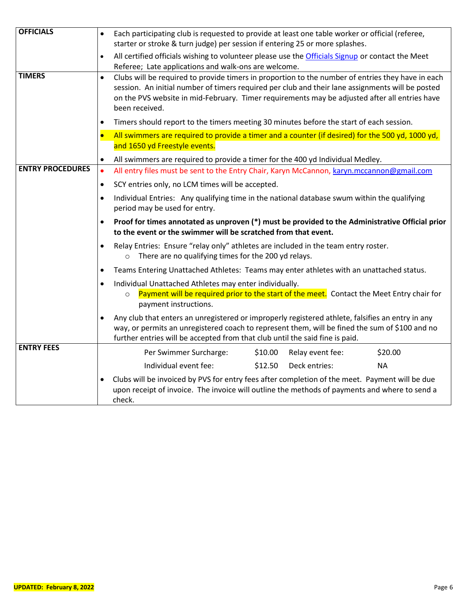| <b>OFFICIALS</b>                                                                                                                                                                        | $\bullet$                                                                                                                    | Each participating club is requested to provide at least one table worker or official (referee,<br>starter or stroke & turn judge) per session if entering 25 or more splashes.                                                                                                                                          |         |                  |           |  |  |
|-----------------------------------------------------------------------------------------------------------------------------------------------------------------------------------------|------------------------------------------------------------------------------------------------------------------------------|--------------------------------------------------------------------------------------------------------------------------------------------------------------------------------------------------------------------------------------------------------------------------------------------------------------------------|---------|------------------|-----------|--|--|
|                                                                                                                                                                                         |                                                                                                                              | All certified officials wishing to volunteer please use the Officials Signup or contact the Meet<br>Referee; Late applications and walk-ons are welcome.                                                                                                                                                                 |         |                  |           |  |  |
| <b>TIMERS</b>                                                                                                                                                                           | $\bullet$                                                                                                                    | Clubs will be required to provide timers in proportion to the number of entries they have in each<br>session. An initial number of timers required per club and their lane assignments will be posted<br>on the PVS website in mid-February. Timer requirements may be adjusted after all entries have<br>been received. |         |                  |           |  |  |
|                                                                                                                                                                                         |                                                                                                                              | Timers should report to the timers meeting 30 minutes before the start of each session.                                                                                                                                                                                                                                  |         |                  |           |  |  |
|                                                                                                                                                                                         |                                                                                                                              | All swimmers are required to provide a timer and a counter (if desired) for the 500 yd, 1000 yd,<br>and 1650 yd Freestyle events.                                                                                                                                                                                        |         |                  |           |  |  |
|                                                                                                                                                                                         |                                                                                                                              |                                                                                                                                                                                                                                                                                                                          |         |                  |           |  |  |
| <b>ENTRY PROCEDURES</b>                                                                                                                                                                 | ٠<br>$\bullet$                                                                                                               | All swimmers are required to provide a timer for the 400 yd Individual Medley.<br>All entry files must be sent to the Entry Chair, Karyn McCannon, karyn.mccannon@gmail.com                                                                                                                                              |         |                  |           |  |  |
|                                                                                                                                                                                         | SCY entries only, no LCM times will be accepted.<br>$\bullet$                                                                |                                                                                                                                                                                                                                                                                                                          |         |                  |           |  |  |
|                                                                                                                                                                                         | Individual Entries: Any qualifying time in the national database swum within the qualifying<br>period may be used for entry. |                                                                                                                                                                                                                                                                                                                          |         |                  |           |  |  |
|                                                                                                                                                                                         | ٠                                                                                                                            | Proof for times annotated as unproven (*) must be provided to the Administrative Official prior<br>to the event or the swimmer will be scratched from that event.<br>Relay Entries: Ensure "relay only" athletes are included in the team entry roster.<br>o There are no qualifying times for the 200 yd relays.        |         |                  |           |  |  |
|                                                                                                                                                                                         |                                                                                                                              |                                                                                                                                                                                                                                                                                                                          |         |                  |           |  |  |
|                                                                                                                                                                                         |                                                                                                                              | Teams Entering Unattached Athletes: Teams may enter athletes with an unattached status.                                                                                                                                                                                                                                  |         |                  |           |  |  |
| Individual Unattached Athletes may enter individually.<br>Payment will be required prior to the start of the meet. Contact the Meet Entry chair for<br>$\circ$<br>payment instructions. |                                                                                                                              |                                                                                                                                                                                                                                                                                                                          |         |                  |           |  |  |
|                                                                                                                                                                                         |                                                                                                                              | Any club that enters an unregistered or improperly registered athlete, falsifies an entry in any<br>way, or permits an unregistered coach to represent them, will be fined the sum of \$100 and no<br>further entries will be accepted from that club until the said fine is paid.                                       |         |                  |           |  |  |
| <b>ENTRY FEES</b>                                                                                                                                                                       |                                                                                                                              | Per Swimmer Surcharge:                                                                                                                                                                                                                                                                                                   | \$10.00 | Relay event fee: | \$20.00   |  |  |
|                                                                                                                                                                                         |                                                                                                                              | Individual event fee:                                                                                                                                                                                                                                                                                                    | \$12.50 | Deck entries:    | <b>NA</b> |  |  |
|                                                                                                                                                                                         |                                                                                                                              | Clubs will be invoiced by PVS for entry fees after completion of the meet. Payment will be due<br>upon receipt of invoice. The invoice will outline the methods of payments and where to send a<br>check.                                                                                                                |         |                  |           |  |  |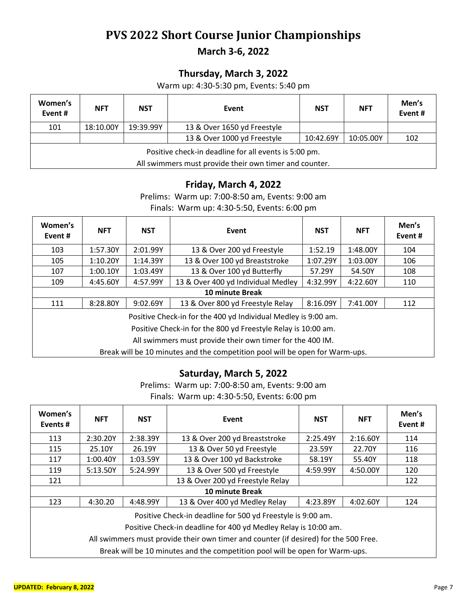## **PVS 2022 Short Course Junior Championships**

**March 3-6, 2022**

### **Thursday, March 3, 2022**

Warm up: 4:30-5:30 pm, Events: 5:40 pm

| Women's<br>Event#                                                                                               | <b>NFT</b> | <b>NST</b> | Event                       | <b>NST</b> | <b>NFT</b> | Men's<br>Event# |
|-----------------------------------------------------------------------------------------------------------------|------------|------------|-----------------------------|------------|------------|-----------------|
| 101                                                                                                             | 18:10.00Y  | 19:39.99Y  | 13 & Over 1650 yd Freestyle |            |            |                 |
|                                                                                                                 |            |            | 13 & Over 1000 yd Freestyle | 10:42.69Y  | 10:05.00Y  | 102             |
| Positive check-in deadline for all events is 5:00 pm.<br>All swimmers must provide their own timer and counter. |            |            |                             |            |            |                 |

#### **Friday, March 4, 2022**

Prelims: Warm up: 7:00-8:50 am, Events: 9:00 am Finals: Warm up: 4:30-5:50, Events: 6:00 pm

| Women's<br>Event #                                                           | <b>NFT</b> | <b>NST</b> | Event                              | <b>NST</b> | <b>NFT</b> | Men's<br>Event# |
|------------------------------------------------------------------------------|------------|------------|------------------------------------|------------|------------|-----------------|
| 103                                                                          | 1:57.30Y   | 2:01.99Y   | 13 & Over 200 yd Freestyle         | 1:52.19    | 1:48.00Y   | 104             |
| 105                                                                          | 1:10.20Y   | 1:14.39Y   | 13 & Over 100 yd Breaststroke      | 1:07.29Y   | 1:03.00Y   | 106             |
| 107                                                                          | 1:00.10Y   | 1:03.49Y   | 13 & Over 100 yd Butterfly         | 57.29Y     | 54.50Y     | 108             |
| 109                                                                          | 4:45.60Y   | 4:57.99Y   | 13 & Over 400 yd Individual Medley | 4:32.99Y   | 4:22.60Y   | 110             |
|                                                                              |            |            | 10 minute Break                    |            |            |                 |
| 111                                                                          | 8:28.80Y   | 9:02.69Y   | 13 & Over 800 yd Freestyle Relay   | 8:16.09Y   | 7:41.00Y   | 112             |
| Positive Check-in for the 400 yd Individual Medley is 9:00 am.               |            |            |                                    |            |            |                 |
| Positive Check-in for the 800 yd Freestyle Relay is 10:00 am.                |            |            |                                    |            |            |                 |
| All swimmers must provide their own timer for the 400 IM.                    |            |            |                                    |            |            |                 |
| Break will be 10 minutes and the competition pool will be open for Warm-ups. |            |            |                                    |            |            |                 |

#### **Saturday, March 5, 2022**

Prelims: Warm up: 7:00-8:50 am, Events: 9:00 am Finals: Warm up: 4:30-5:50, Events: 6:00 pm

| Women's<br>Events#                                                                                                                                                                                                                                                                                     | <b>NFT</b> | <b>NST</b> | Event                            | <b>NST</b> | <b>NFT</b> | Men's<br>Event# |
|--------------------------------------------------------------------------------------------------------------------------------------------------------------------------------------------------------------------------------------------------------------------------------------------------------|------------|------------|----------------------------------|------------|------------|-----------------|
| 113                                                                                                                                                                                                                                                                                                    | 2:30.20Y   | 2:38.39Y   | 13 & Over 200 yd Breaststroke    | 2:25.49Y   | 2:16.60Y   | 114             |
| 115                                                                                                                                                                                                                                                                                                    | 25.10Y     | 26.19Y     | 13 & Over 50 yd Freestyle        | 23.59Y     | 22.70Y     | 116             |
| 117                                                                                                                                                                                                                                                                                                    | 1:00.40Y   | 1:03.59Y   | 13 & Over 100 yd Backstroke      | 58.19Y     | 55.40Y     | 118             |
| 119                                                                                                                                                                                                                                                                                                    | 5:13.50Y   | 5:24.99Y   | 13 & Over 500 yd Freestyle       | 4:59.99Y   | 4:50.00Y   | 120             |
| 121                                                                                                                                                                                                                                                                                                    |            |            | 13 & Over 200 yd Freestyle Relay |            |            | 122             |
|                                                                                                                                                                                                                                                                                                        |            |            | <b>10 minute Break</b>           |            |            |                 |
| 123                                                                                                                                                                                                                                                                                                    | 4:30.20    | 4:48.99Y   | 13 & Over 400 yd Medley Relay    | 4:23.89Y   | 4:02.60Y   | 124             |
| Positive Check-in deadline for 500 yd Freestyle is 9:00 am.<br>Positive Check-in deadline for 400 yd Medley Relay is 10:00 am.<br>All swimmers must provide their own timer and counter (if desired) for the 500 Free.<br>Break will be 10 minutes and the competition pool will be open for Warm-ups. |            |            |                                  |            |            |                 |